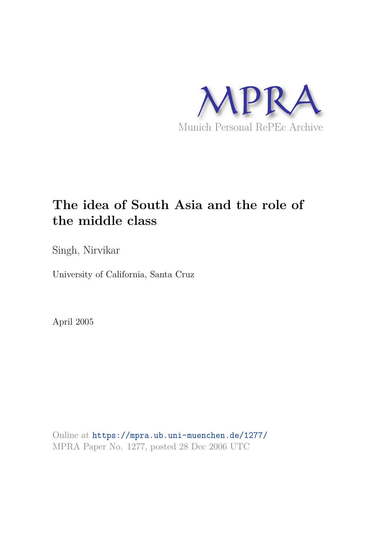

# **The idea of South Asia and the role of the middle class**

Singh, Nirvikar

University of California, Santa Cruz

April 2005

Online at https://mpra.ub.uni-muenchen.de/1277/ MPRA Paper No. 1277, posted 28 Dec 2006 UTC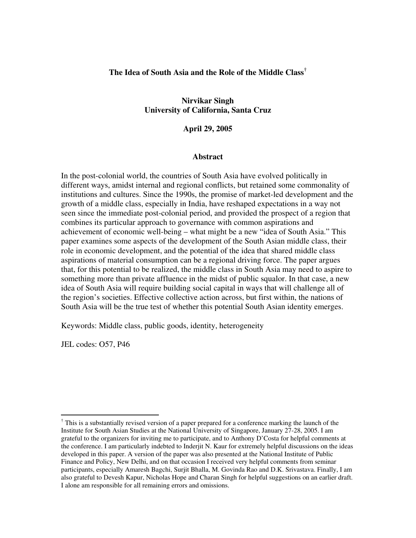#### **The Idea of South Asia and the Role of the Middle Class†**

#### **Nirvikar Singh University of California, Santa Cruz**

#### **April 29, 2005**

#### **Abstract**

In the post-colonial world, the countries of South Asia have evolved politically in different ways, amidst internal and regional conflicts, but retained some commonality of institutions and cultures. Since the 1990s, the promise of market-led development and the growth of a middle class, especially in India, have reshaped expectations in a way not seen since the immediate post-colonial period, and provided the prospect of a region that combines its particular approach to governance with common aspirations and achievement of economic well-being – what might be a new "idea of South Asia." This paper examines some aspects of the development of the South Asian middle class, their role in economic development, and the potential of the idea that shared middle class aspirations of material consumption can be a regional driving force. The paper argues that, for this potential to be realized, the middle class in South Asia may need to aspire to something more than private affluence in the midst of public squalor. In that case, a new idea of South Asia will require building social capital in ways that will challenge all of the region's societies. Effective collective action across, but first within, the nations of South Asia will be the true test of whether this potential South Asian identity emerges.

Keywords: Middle class, public goods, identity, heterogeneity

JEL codes: O57, P46

 $\overline{a}$ 

<sup>†</sup> This is a substantially revised version of a paper prepared for a conference marking the launch of the Institute for South Asian Studies at the National University of Singapore, January 27-28, 2005. I am grateful to the organizers for inviting me to participate, and to Anthony D'Costa for helpful comments at the conference. I am particularly indebted to Inderjit N. Kaur for extremely helpful discussions on the ideas developed in this paper. A version of the paper was also presented at the National Institute of Public Finance and Policy, New Delhi, and on that occasion I received very helpful comments from seminar participants, especially Amaresh Bagchi, Surjit Bhalla, M. Govinda Rao and D.K. Srivastava. Finally, I am also grateful to Devesh Kapur, Nicholas Hope and Charan Singh for helpful suggestions on an earlier draft. I alone am responsible for all remaining errors and omissions.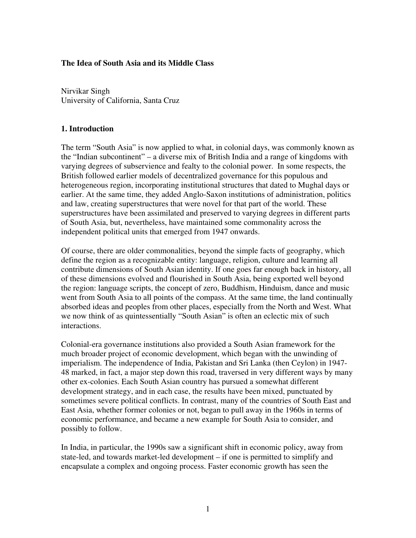### **The Idea of South Asia and its Middle Class**

Nirvikar Singh University of California, Santa Cruz

### **1. Introduction**

The term "South Asia" is now applied to what, in colonial days, was commonly known as the "Indian subcontinent" – a diverse mix of British India and a range of kingdoms with varying degrees of subservience and fealty to the colonial power. In some respects, the British followed earlier models of decentralized governance for this populous and heterogeneous region, incorporating institutional structures that dated to Mughal days or earlier. At the same time, they added Anglo-Saxon institutions of administration, politics and law, creating superstructures that were novel for that part of the world. These superstructures have been assimilated and preserved to varying degrees in different parts of South Asia, but, nevertheless, have maintained some commonality across the independent political units that emerged from 1947 onwards.

Of course, there are older commonalities, beyond the simple facts of geography, which define the region as a recognizable entity: language, religion, culture and learning all contribute dimensions of South Asian identity. If one goes far enough back in history, all of these dimensions evolved and flourished in South Asia, being exported well beyond the region: language scripts, the concept of zero, Buddhism, Hinduism, dance and music went from South Asia to all points of the compass. At the same time, the land continually absorbed ideas and peoples from other places, especially from the North and West. What we now think of as quintessentially "South Asian" is often an eclectic mix of such interactions.

Colonial-era governance institutions also provided a South Asian framework for the much broader project of economic development, which began with the unwinding of imperialism. The independence of India, Pakistan and Sri Lanka (then Ceylon) in 1947- 48 marked, in fact, a major step down this road, traversed in very different ways by many other ex-colonies. Each South Asian country has pursued a somewhat different development strategy, and in each case, the results have been mixed, punctuated by sometimes severe political conflicts. In contrast, many of the countries of South East and East Asia, whether former colonies or not, began to pull away in the 1960s in terms of economic performance, and became a new example for South Asia to consider, and possibly to follow.

In India, in particular, the 1990s saw a significant shift in economic policy, away from state-led, and towards market-led development – if one is permitted to simplify and encapsulate a complex and ongoing process. Faster economic growth has seen the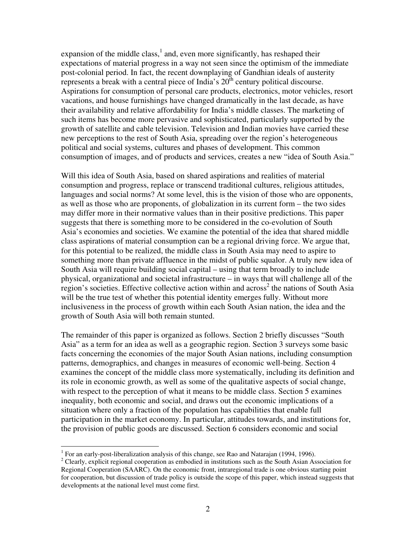expansion of the middle class, $<sup>1</sup>$  and, even more significantly, has reshaped their</sup> expectations of material progress in a way not seen since the optimism of the immediate post-colonial period. In fact, the recent downplaying of Gandhian ideals of austerity represents a break with a central piece of India's  $20<sup>th</sup>$  century political discourse. Aspirations for consumption of personal care products, electronics, motor vehicles, resort vacations, and house furnishings have changed dramatically in the last decade, as have their availability and relative affordability for India's middle classes. The marketing of such items has become more pervasive and sophisticated, particularly supported by the growth of satellite and cable television. Television and Indian movies have carried these new perceptions to the rest of South Asia, spreading over the region's heterogeneous political and social systems, cultures and phases of development. This common consumption of images, and of products and services, creates a new "idea of South Asia."

Will this idea of South Asia, based on shared aspirations and realities of material consumption and progress, replace or transcend traditional cultures, religious attitudes, languages and social norms? At some level, this is the vision of those who are opponents, as well as those who are proponents, of globalization in its current form – the two sides may differ more in their normative values than in their positive predictions. This paper suggests that there is something more to be considered in the co-evolution of South Asia's economies and societies. We examine the potential of the idea that shared middle class aspirations of material consumption can be a regional driving force. We argue that, for this potential to be realized, the middle class in South Asia may need to aspire to something more than private affluence in the midst of public squalor. A truly new idea of South Asia will require building social capital – using that term broadly to include physical, organizational and societal infrastructure – in ways that will challenge all of the region's societies. Effective collective action within and  $\arccos^2$  the nations of South Asia will be the true test of whether this potential identity emerges fully. Without more inclusiveness in the process of growth within each South Asian nation, the idea and the growth of South Asia will both remain stunted.

The remainder of this paper is organized as follows. Section 2 briefly discusses "South Asia" as a term for an idea as well as a geographic region. Section 3 surveys some basic facts concerning the economies of the major South Asian nations, including consumption patterns, demographics, and changes in measures of economic well-being. Section 4 examines the concept of the middle class more systematically, including its definition and its role in economic growth, as well as some of the qualitative aspects of social change, with respect to the perception of what it means to be middle class. Section 5 examines inequality, both economic and social, and draws out the economic implications of a situation where only a fraction of the population has capabilities that enable full participation in the market economy. In particular, attitudes towards, and institutions for, the provision of public goods are discussed. Section 6 considers economic and social

<u>.</u>

<sup>&</sup>lt;sup>1</sup> For an early-post-liberalization analysis of this change, see Rao and Natarajan (1994, 1996).

<sup>&</sup>lt;sup>2</sup> Clearly, explicit regional cooperation as embodied in institutions such as the South Asian Association for Regional Cooperation (SAARC). On the economic front, intraregional trade is one obvious starting point for cooperation, but discussion of trade policy is outside the scope of this paper, which instead suggests that developments at the national level must come first.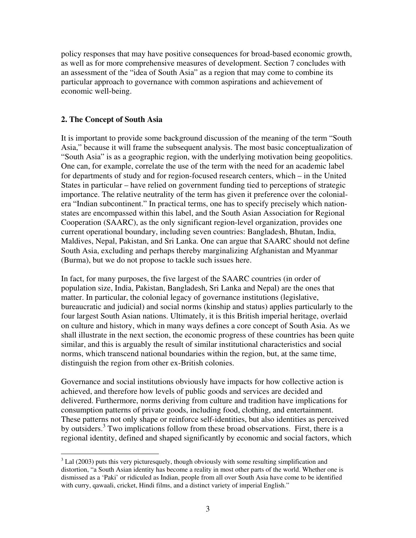policy responses that may have positive consequences for broad-based economic growth, as well as for more comprehensive measures of development. Section 7 concludes with an assessment of the "idea of South Asia" as a region that may come to combine its particular approach to governance with common aspirations and achievement of economic well-being.

#### **2. The Concept of South Asia**

It is important to provide some background discussion of the meaning of the term "South Asia," because it will frame the subsequent analysis. The most basic conceptualization of "South Asia" is as a geographic region, with the underlying motivation being geopolitics. One can, for example, correlate the use of the term with the need for an academic label for departments of study and for region-focused research centers, which – in the United States in particular – have relied on government funding tied to perceptions of strategic importance. The relative neutrality of the term has given it preference over the colonialera "Indian subcontinent." In practical terms, one has to specify precisely which nationstates are encompassed within this label, and the South Asian Association for Regional Cooperation (SAARC), as the only significant region-level organization, provides one current operational boundary, including seven countries: Bangladesh, Bhutan, India, Maldives, Nepal, Pakistan, and Sri Lanka. One can argue that SAARC should not define South Asia, excluding and perhaps thereby marginalizing Afghanistan and Myanmar (Burma), but we do not propose to tackle such issues here.

In fact, for many purposes, the five largest of the SAARC countries (in order of population size, India, Pakistan, Bangladesh, Sri Lanka and Nepal) are the ones that matter. In particular, the colonial legacy of governance institutions (legislative, bureaucratic and judicial) and social norms (kinship and status) applies particularly to the four largest South Asian nations. Ultimately, it is this British imperial heritage, overlaid on culture and history, which in many ways defines a core concept of South Asia. As we shall illustrate in the next section, the economic progress of these countries has been quite similar, and this is arguably the result of similar institutional characteristics and social norms, which transcend national boundaries within the region, but, at the same time, distinguish the region from other ex-British colonies.

Governance and social institutions obviously have impacts for how collective action is achieved, and therefore how levels of public goods and services are decided and delivered. Furthermore, norms deriving from culture and tradition have implications for consumption patterns of private goods, including food, clothing, and entertainment. These patterns not only shape or reinforce self-identities, but also identities as perceived by outsiders.<sup>3</sup> Two implications follow from these broad observations. First, there is a regional identity, defined and shaped significantly by economic and social factors, which

 $\frac{3}{1}$  Lal (2003) puts this very picturesquely, though obviously with some resulting simplification and distortion, "a South Asian identity has become a reality in most other parts of the world. Whether one is dismissed as a 'Paki' or ridiculed as Indian, people from all over South Asia have come to be identified with curry, qawaali, cricket, Hindi films, and a distinct variety of imperial English."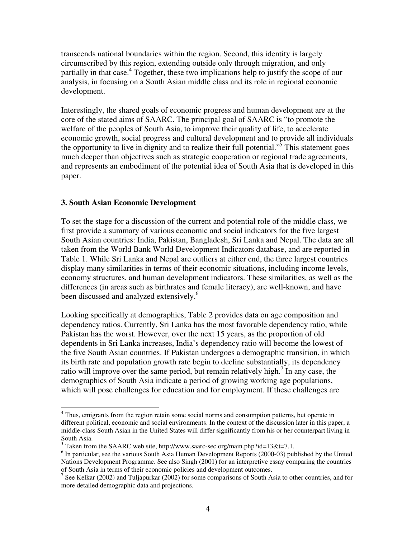transcends national boundaries within the region. Second, this identity is largely circumscribed by this region, extending outside only through migration, and only partially in that case.<sup>4</sup> Together, these two implications help to justify the scope of our analysis, in focusing on a South Asian middle class and its role in regional economic development.

Interestingly, the shared goals of economic progress and human development are at the core of the stated aims of SAARC. The principal goal of SAARC is "to promote the welfare of the peoples of South Asia, to improve their quality of life, to accelerate economic growth, social progress and cultural development and to provide all individuals the opportunity to live in dignity and to realize their full potential."<sup>5</sup> This statement goes much deeper than objectives such as strategic cooperation or regional trade agreements, and represents an embodiment of the potential idea of South Asia that is developed in this paper.

#### **3. South Asian Economic Development**

 $\overline{a}$ 

To set the stage for a discussion of the current and potential role of the middle class, we first provide a summary of various economic and social indicators for the five largest South Asian countries: India, Pakistan, Bangladesh, Sri Lanka and Nepal. The data are all taken from the World Bank World Development Indicators database, and are reported in Table 1. While Sri Lanka and Nepal are outliers at either end, the three largest countries display many similarities in terms of their economic situations, including income levels, economy structures, and human development indicators. These similarities, as well as the differences (in areas such as birthrates and female literacy), are well-known, and have been discussed and analyzed extensively.<sup>6</sup>

Looking specifically at demographics, Table 2 provides data on age composition and dependency ratios. Currently, Sri Lanka has the most favorable dependency ratio, while Pakistan has the worst. However, over the next 15 years, as the proportion of old dependents in Sri Lanka increases, India's dependency ratio will become the lowest of the five South Asian countries. If Pakistan undergoes a demographic transition, in which its birth rate and population growth rate begin to decline substantially, its dependency ratio will improve over the same period, but remain relatively high.<sup>7</sup> In any case, the demographics of South Asia indicate a period of growing working age populations, which will pose challenges for education and for employment. If these challenges are

<sup>&</sup>lt;sup>4</sup> Thus, emigrants from the region retain some social norms and consumption patterns, but operate in different political, economic and social environments. In the context of the discussion later in this paper, a middle-class South Asian in the United States will differ significantly from his or her counterpart living in South Asia.

<sup>&</sup>lt;sup>5</sup> Taken from the SAARC web site, http://www.saarc-sec.org/main.php?id=13&t=7.1.

<sup>&</sup>lt;sup>6</sup> In particular, see the various South Asia Human Development Reports (2000-03) published by the United Nations Development Programme. See also Singh (2001) for an interpretive essay comparing the countries of South Asia in terms of their economic policies and development outcomes.

<sup>&</sup>lt;sup>7</sup> See Kelkar (2002) and Tuljapurkar (2002) for some comparisons of South Asia to other countries, and for more detailed demographic data and projections.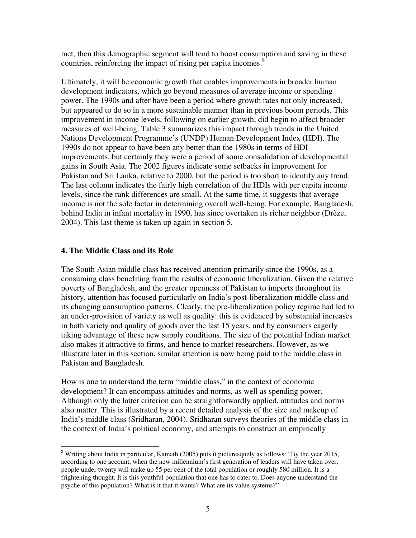met, then this demographic segment will tend to boost consumption and saving in these countries, reinforcing the impact of rising per capita incomes. $8$ 

Ultimately, it will be economic growth that enables improvements in broader human development indicators, which go beyond measures of average income or spending power. The 1990s and after have been a period where growth rates not only increased, but appeared to do so in a more sustainable manner than in previous boom periods. This improvement in income levels, following on earlier growth, did begin to affect broader measures of well-being. Table 3 summarizes this impact through trends in the United Nations Development Programme's (UNDP) Human Development Index (HDI). The 1990s do not appear to have been any better than the 1980s in terms of HDI improvements, but certainly they were a period of some consolidation of developmental gains in South Asia. The 2002 figures indicate some setbacks in improvement for Pakistan and Sri Lanka, relative to 2000, but the period is too short to identify any trend. The last column indicates the fairly high correlation of the HDIs with per capita income levels, since the rank differences are small. At the same time, it suggests that average income is not the sole factor in determining overall well-being. For example, Bangladesh, behind India in infant mortality in 1990, has since overtaken its richer neighbor (Drèze, 2004). This last theme is taken up again in section 5.

#### **4. The Middle Class and its Role**

 $\overline{a}$ 

The South Asian middle class has received attention primarily since the 1990s, as a consuming class benefiting from the results of economic liberalization. Given the relative poverty of Bangladesh, and the greater openness of Pakistan to imports throughout its history, attention has focused particularly on India's post-liberalization middle class and its changing consumption patterns. Clearly, the pre-liberalization policy regime had led to an under-provision of variety as well as quality: this is evidenced by substantial increases in both variety and quality of goods over the last 15 years, and by consumers eagerly taking advantage of these new supply conditions. The size of the potential Indian market also makes it attractive to firms, and hence to market researchers. However, as we illustrate later in this section, similar attention is now being paid to the middle class in Pakistan and Bangladesh.

How is one to understand the term "middle class," in the context of economic development? It can encompass attitudes and norms, as well as spending power. Although only the latter criterion can be straightforwardly applied, attitudes and norms also matter. This is illustrated by a recent detailed analysis of the size and makeup of India's middle class (Sridharan, 2004). Sridharan surveys theories of the middle class in the context of India's political economy, and attempts to construct an empirically

<sup>&</sup>lt;sup>8</sup> Writing about India in particular, Kamath (2005) puts it picturesquely as follows: "By the year 2015, according to one account, when the new millennium's first generation of leaders will have taken over, people under twenty will make up 55 per cent of the total population or roughly 580 million. It is a frightening thought. It is this youthful population that one has to cater to. Does anyone understand the psyche of this population? What is it that it wants? What are its value systems?"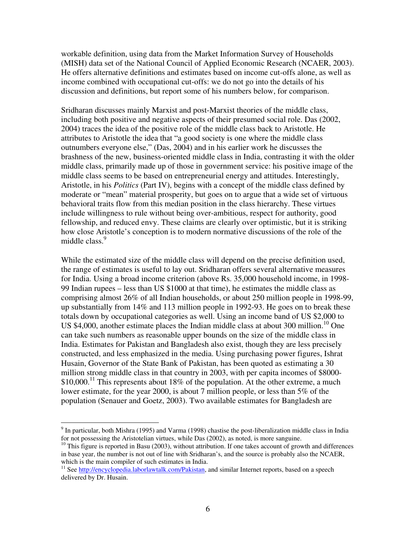workable definition, using data from the Market Information Survey of Households (MISH) data set of the National Council of Applied Economic Research (NCAER, 2003). He offers alternative definitions and estimates based on income cut-offs alone, as well as income combined with occupational cut-offs: we do not go into the details of his discussion and definitions, but report some of his numbers below, for comparison.

Sridharan discusses mainly Marxist and post-Marxist theories of the middle class, including both positive and negative aspects of their presumed social role. Das (2002, 2004) traces the idea of the positive role of the middle class back to Aristotle. He attributes to Aristotle the idea that "a good society is one where the middle class outnumbers everyone else," (Das, 2004) and in his earlier work he discusses the brashness of the new, business-oriented middle class in India, contrasting it with the older middle class, primarily made up of those in government service: his positive image of the middle class seems to be based on entrepreneurial energy and attitudes. Interestingly, Aristotle, in his *Politics* (Part IV), begins with a concept of the middle class defined by moderate or "mean" material prosperity, but goes on to argue that a wide set of virtuous behavioral traits flow from this median position in the class hierarchy. These virtues include willingness to rule without being over-ambitious, respect for authority, good fellowship, and reduced envy. These claims are clearly over optimistic, but it is striking how close Aristotle's conception is to modern normative discussions of the role of the middle class.<sup>9</sup>

While the estimated size of the middle class will depend on the precise definition used, the range of estimates is useful to lay out. Sridharan offers several alternative measures for India. Using a broad income criterion (above Rs. 35,000 household income, in 1998- 99 Indian rupees – less than US \$1000 at that time), he estimates the middle class as comprising almost 26% of all Indian households, or about 250 million people in 1998-99, up substantially from 14% and 113 million people in 1992-93. He goes on to break these totals down by occupational categories as well. Using an income band of US \$2,000 to US \$4,000, another estimate places the Indian middle class at about 300 million.<sup>10</sup> One can take such numbers as reasonable upper bounds on the size of the middle class in India. Estimates for Pakistan and Bangladesh also exist, though they are less precisely constructed, and less emphasized in the media. Using purchasing power figures, Ishrat Husain, Governor of the State Bank of Pakistan, has been quoted as estimating a 30 million strong middle class in that country in 2003, with per capita incomes of \$8000- \$10,000.<sup>11</sup> This represents about 18% of the population. At the other extreme, a much lower estimate, for the year 2000, is about 7 million people, or less than 5% of the population (Senauer and Goetz, 2003). Two available estimates for Bangladesh are

 $\overline{a}$ 

<sup>&</sup>lt;sup>9</sup> In particular, both Mishra (1995) and Varma (1998) chastise the post-liberalization middle class in India for not possessing the Aristotelian virtues, while Das (2002), as noted, is more sanguine.

<sup>&</sup>lt;sup>10</sup> This figure is reported in Basu (2003), without attribution. If one takes account of growth and differences in base year, the number is not out of line with Sridharan's, and the source is probably also the NCAER, which is the main compiler of such estimates in India.

<sup>&</sup>lt;sup>11</sup> See http://encyclopedia.laborlawtalk.com/Pakistan, and similar Internet reports, based on a speech delivered by Dr. Husain.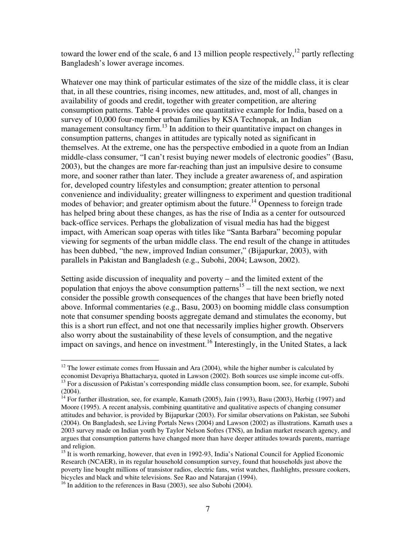toward the lower end of the scale, 6 and 13 million people respectively,<sup>12</sup> partly reflecting Bangladesh's lower average incomes.

Whatever one may think of particular estimates of the size of the middle class, it is clear that, in all these countries, rising incomes, new attitudes, and, most of all, changes in availability of goods and credit, together with greater competition, are altering consumption patterns. Table 4 provides one quantitative example for India, based on a survey of 10,000 four-member urban families by KSA Technopak, an Indian management consultancy firm.<sup>13</sup> In addition to their quantitative impact on changes in consumption patterns, changes in attitudes are typically noted as significant in themselves. At the extreme, one has the perspective embodied in a quote from an Indian middle-class consumer, "I can't resist buying newer models of electronic goodies" (Basu, 2003), but the changes are more far-reaching than just an impulsive desire to consume more, and sooner rather than later. They include a greater awareness of, and aspiration for, developed country lifestyles and consumption; greater attention to personal convenience and individuality; greater willingness to experiment and question traditional modes of behavior; and greater optimism about the future.<sup>14</sup> Openness to foreign trade has helped bring about these changes, as has the rise of India as a center for outsourced back-office services. Perhaps the globalization of visual media has had the biggest impact, with American soap operas with titles like "Santa Barbara" becoming popular viewing for segments of the urban middle class. The end result of the change in attitudes has been dubbed, "the new, improved Indian consumer," (Bijapurkar, 2003), with parallels in Pakistan and Bangladesh (e.g., Subohi, 2004; Lawson, 2002).

Setting aside discussion of inequality and poverty – and the limited extent of the population that enjoys the above consumption patterns<sup>15</sup> – till the next section, we next consider the possible growth consequences of the changes that have been briefly noted above. Informal commentaries (e.g., Basu, 2003) on booming middle class consumption note that consumer spending boosts aggregate demand and stimulates the economy, but this is a short run effect, and not one that necessarily implies higher growth. Observers also worry about the sustainability of these levels of consumption, and the negative impact on savings, and hence on investment.<sup>16</sup> Interestingly, in the United States, a lack

 $\overline{a}$  $12$  The lower estimate comes from Hussain and Ara (2004), while the higher number is calculated by economist Devapriya Bhattacharya, quoted in Lawson (2002). Both sources use simple income cut-offs.

<sup>&</sup>lt;sup>13</sup> For a discussion of Pakistan's corresponding middle class consumption boom, see, for example, Subohi (2004).

<sup>&</sup>lt;sup>14</sup> For further illustration, see, for example, Kamath (2005), Jain (1993), Basu (2003), Herbig (1997) and Moore (1995). A recent analysis, combining quantitative and qualitative aspects of changing consumer attitudes and behavior, is provided by Bijapurkar (2003). For similar observations on Pakistan, see Subohi (2004). On Bangladesh, see Living Portals News (2004) and Lawson (2002) as illustrations. Kamath uses a 2003 survey made on Indian youth by Taylor Nelson Sofres (TNS), an Indian market research agency, and argues that consumption patterns have changed more than have deeper attitudes towards parents, marriage and religion.

<sup>&</sup>lt;sup>15</sup> It is worth remarking, however, that even in 1992-93, India's National Council for Applied Economic Research (NCAER), in its regular household consumption survey, found that households just above the poverty line bought millions of transistor radios, electric fans, wrist watches, flashlights, pressure cookers, bicycles and black and white televisions. See Rao and Natarajan (1994).

<sup>&</sup>lt;sup>16</sup> In addition to the references in Basu (2003), see also Subohi (2004).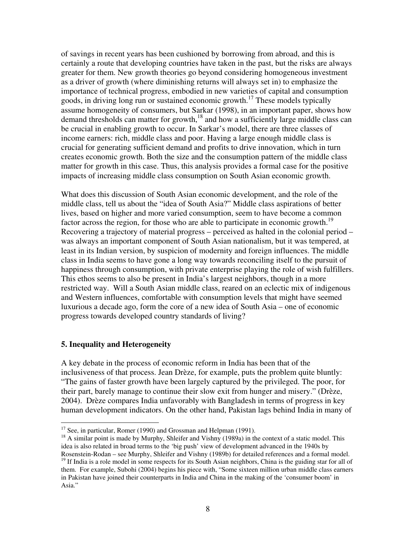of savings in recent years has been cushioned by borrowing from abroad, and this is certainly a route that developing countries have taken in the past, but the risks are always greater for them. New growth theories go beyond considering homogeneous investment as a driver of growth (where diminishing returns will always set in) to emphasize the importance of technical progress, embodied in new varieties of capital and consumption goods, in driving long run or sustained economic growth.<sup>17</sup> These models typically assume homogeneity of consumers, but Sarkar (1998), in an important paper, shows how demand thresholds can matter for growth, $18$  and how a sufficiently large middle class can be crucial in enabling growth to occur. In Sarkar's model, there are three classes of income earners: rich, middle class and poor. Having a large enough middle class is crucial for generating sufficient demand and profits to drive innovation, which in turn creates economic growth. Both the size and the consumption pattern of the middle class matter for growth in this case. Thus, this analysis provides a formal case for the positive impacts of increasing middle class consumption on South Asian economic growth.

What does this discussion of South Asian economic development, and the role of the middle class, tell us about the "idea of South Asia?" Middle class aspirations of better lives, based on higher and more varied consumption, seem to have become a common factor across the region, for those who are able to participate in economic growth.<sup>19</sup> Recovering a trajectory of material progress – perceived as halted in the colonial period – was always an important component of South Asian nationalism, but it was tempered, at least in its Indian version, by suspicion of modernity and foreign influences. The middle class in India seems to have gone a long way towards reconciling itself to the pursuit of happiness through consumption, with private enterprise playing the role of wish fulfillers. This ethos seems to also be present in India's largest neighbors, though in a more restricted way. Will a South Asian middle class, reared on an eclectic mix of indigenous and Western influences, comfortable with consumption levels that might have seemed luxurious a decade ago, form the core of a new idea of South Asia – one of economic progress towards developed country standards of living?

#### **5. Inequality and Heterogeneity**

 $\overline{a}$ 

A key debate in the process of economic reform in India has been that of the inclusiveness of that process. Jean Drèze, for example, puts the problem quite bluntly: "The gains of faster growth have been largely captured by the privileged. The poor, for their part, barely manage to continue their slow exit from hunger and misery." (Drèze, 2004). Drèze compares India unfavorably with Bangladesh in terms of progress in key human development indicators. On the other hand, Pakistan lags behind India in many of

 $17$  See, in particular, Romer (1990) and Grossman and Helpman (1991).

<sup>&</sup>lt;sup>18</sup> A similar point is made by Murphy, Shleifer and Vishny (1989a) in the context of a static model. This idea is also related in broad terms to the 'big push' view of development advanced in the 1940s by Rosenstein-Rodan – see Murphy, Shleifer and Vishny (1989b) for detailed references and a formal model.

<sup>&</sup>lt;sup>19</sup> If India is a role model in some respects for its South Asian neighbors, China is the guiding star for all of them. For example, Subohi (2004) begins his piece with, "Some sixteen million urban middle class earners in Pakistan have joined their counterparts in India and China in the making of the 'consumer boom' in Asia."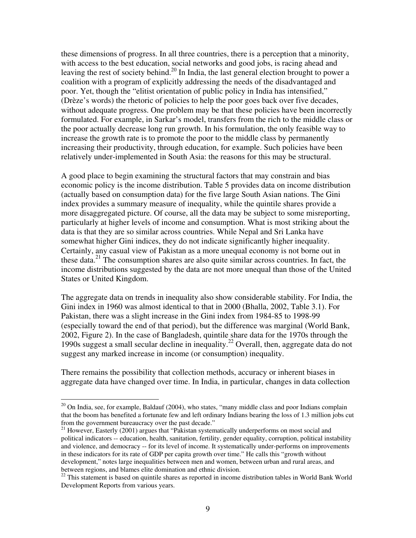these dimensions of progress. In all three countries, there is a perception that a minority, with access to the best education, social networks and good jobs, is racing ahead and leaving the rest of society behind.<sup>20</sup> In India, the last general election brought to power a coalition with a program of explicitly addressing the needs of the disadvantaged and poor. Yet, though the "elitist orientation of public policy in India has intensified," (Drèze's words) the rhetoric of policies to help the poor goes back over five decades, without adequate progress. One problem may be that these policies have been incorrectly formulated. For example, in Sarkar's model, transfers from the rich to the middle class or the poor actually decrease long run growth. In his formulation, the only feasible way to increase the growth rate is to promote the poor to the middle class by permanently increasing their productivity, through education, for example. Such policies have been relatively under-implemented in South Asia: the reasons for this may be structural.

A good place to begin examining the structural factors that may constrain and bias economic policy is the income distribution. Table 5 provides data on income distribution (actually based on consumption data) for the five large South Asian nations. The Gini index provides a summary measure of inequality, while the quintile shares provide a more disaggregated picture. Of course, all the data may be subject to some misreporting, particularly at higher levels of income and consumption. What is most striking about the data is that they are so similar across countries. While Nepal and Sri Lanka have somewhat higher Gini indices, they do not indicate significantly higher inequality. Certainly, any casual view of Pakistan as a more unequal economy is not borne out in these data.<sup>21</sup> The consumption shares are also quite similar across countries. In fact, the income distributions suggested by the data are not more unequal than those of the United States or United Kingdom.

The aggregate data on trends in inequality also show considerable stability. For India, the Gini index in 1960 was almost identical to that in 2000 (Bhalla, 2002, Table 3.1). For Pakistan, there was a slight increase in the Gini index from 1984-85 to 1998-99 (especially toward the end of that period), but the difference was marginal (World Bank, 2002, Figure 2). In the case of Bangladesh, quintile share data for the 1970s through the 1990s suggest a small secular decline in inequality.<sup>22</sup> Overall, then, aggregate data do not suggest any marked increase in income (or consumption) inequality.

There remains the possibility that collection methods, accuracy or inherent biases in aggregate data have changed over time. In India, in particular, changes in data collection

 $\overline{a}$ 

 $20$  On India, see, for example, Baldauf (2004), who states, "many middle class and poor Indians complain that the boom has benefited a fortunate few and left ordinary Indians bearing the loss of 1.3 million jobs cut from the government bureaucracy over the past decade."

<sup>&</sup>lt;sup>21</sup> However, Easterly (2001) argues that "Pakistan systematically underperforms on most social and political indicators -- education, health, sanitation, fertility, gender equality, corruption, political instability and violence, and democracy -- for its level of income. It systematically under-performs on improvements in these indicators for its rate of GDP per capita growth over time." He calls this "growth without development," notes large inequalities between men and women, between urban and rural areas, and between regions, and blames elite domination and ethnic division.

<sup>&</sup>lt;sup>22</sup> This statement is based on quintile shares as reported in income distribution tables in World Bank World Development Reports from various years.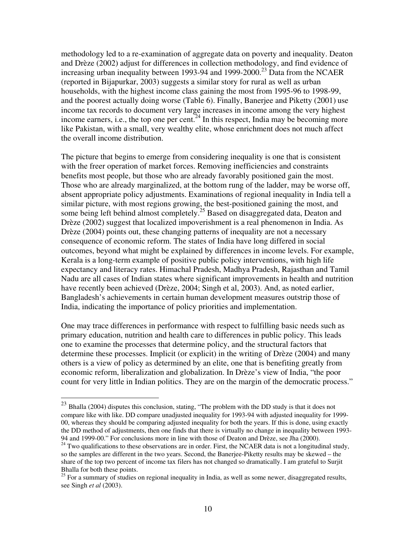methodology led to a re-examination of aggregate data on poverty and inequality. Deaton and Drèze (2002) adjust for differences in collection methodology, and find evidence of increasing urban inequality between 1993-94 and 1999-2000.<sup>23</sup> Data from the NCAER (reported in Bijapurkar, 2003) suggests a similar story for rural as well as urban households, with the highest income class gaining the most from 1995-96 to 1998-99, and the poorest actually doing worse (Table 6). Finally, Banerjee and Piketty (2001) use income tax records to document very large increases in income among the very highest income earners, i.e., the top one per cent.<sup>24</sup> In this respect, India may be becoming more like Pakistan, with a small, very wealthy elite, whose enrichment does not much affect the overall income distribution.

The picture that begins to emerge from considering inequality is one that is consistent with the freer operation of market forces. Removing inefficiencies and constraints benefits most people, but those who are already favorably positioned gain the most. Those who are already marginalized, at the bottom rung of the ladder, may be worse off, absent appropriate policy adjustments. Examinations of regional inequality in India tell a similar picture, with most regions growing, the best-positioned gaining the most, and some being left behind almost completely.<sup>25</sup> Based on disaggregated data, Deaton and Drèze (2002) suggest that localized impoverishment is a real phenomenon in India. As Drèze (2004) points out, these changing patterns of inequality are not a necessary consequence of economic reform. The states of India have long differed in social outcomes, beyond what might be explained by differences in income levels. For example, Kerala is a long-term example of positive public policy interventions, with high life expectancy and literacy rates. Himachal Pradesh, Madhya Pradesh, Rajasthan and Tamil Nadu are all cases of Indian states where significant improvements in health and nutrition have recently been achieved (Drèze, 2004; Singh et al, 2003). And, as noted earlier, Bangladesh's achievements in certain human development measures outstrip those of India, indicating the importance of policy priorities and implementation.

One may trace differences in performance with respect to fulfilling basic needs such as primary education, nutrition and health care to differences in public policy. This leads one to examine the processes that determine policy, and the structural factors that determine these processes. Implicit (or explicit) in the writing of Drèze (2004) and many others is a view of policy as determined by an elite, one that is benefiting greatly from economic reform, liberalization and globalization. In Drèze's view of India, "the poor count for very little in Indian politics. They are on the margin of the democratic process."

<u>.</u>

 $^{23}$  Bhalla (2004) disputes this conclusion, stating, "The problem with the DD study is that it does not compare like with like. DD compare unadjusted inequality for 1993-94 with adjusted inequality for 1999- 00, whereas they should be comparing adjusted inequality for both the years. If this is done, using exactly the DD method of adjustments, then one finds that there is virtually no change in inequality between 1993- 94 and 1999-00." For conclusions more in line with those of Deaton and Drèze, see Jha (2000).

 $24$  Two qualifications to these observations are in order. First, the NCAER data is not a longitudinal study, so the samples are different in the two years. Second, the Banerjee-Piketty results may be skewed – the share of the top two percent of income tax filers has not changed so dramatically. I am grateful to Surjit Bhalla for both these points.

<sup>&</sup>lt;sup>25</sup> For a summary of studies on regional inequality in India, as well as some newer, disaggregated results, see Singh *et al* (2003).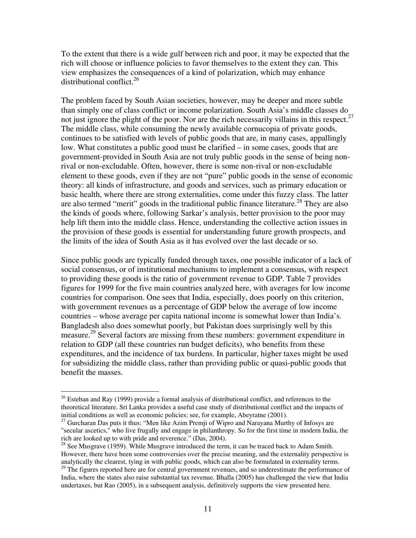To the extent that there is a wide gulf between rich and poor, it may be expected that the rich will choose or influence policies to favor themselves to the extent they can. This view emphasizes the consequences of a kind of polarization, which may enhance distributional conflict.<sup>26</sup>

The problem faced by South Asian societies, however, may be deeper and more subtle than simply one of class conflict or income polarization. South Asia's middle classes do not just ignore the plight of the poor. Nor are the rich necessarily villains in this respect.<sup>27</sup> The middle class, while consuming the newly available cornucopia of private goods, continues to be satisfied with levels of public goods that are, in many cases, appallingly low. What constitutes a public good must be clarified – in some cases, goods that are government-provided in South Asia are not truly public goods in the sense of being nonrival or non-excludable. Often, however, there is some non-rival or non-excludable element to these goods, even if they are not "pure" public goods in the sense of economic theory: all kinds of infrastructure, and goods and services, such as primary education or basic health, where there are strong externalities, come under this fuzzy class. The latter are also termed "merit" goods in the traditional public finance literature.<sup>28</sup> They are also the kinds of goods where, following Sarkar's analysis, better provision to the poor may help lift them into the middle class. Hence, understanding the collective action issues in the provision of these goods is essential for understanding future growth prospects, and the limits of the idea of South Asia as it has evolved over the last decade or so.

Since public goods are typically funded through taxes, one possible indicator of a lack of social consensus, or of institutional mechanisms to implement a consensus, with respect to providing these goods is the ratio of government revenue to GDP. Table 7 provides figures for 1999 for the five main countries analyzed here, with averages for low income countries for comparison. One sees that India, especially, does poorly on this criterion, with government revenues as a percentage of GDP below the average of low income countries – whose average per capita national income is somewhat lower than India's. Bangladesh also does somewhat poorly, but Pakistan does surprisingly well by this measure.<sup>29</sup> Several factors are missing from these numbers: government expenditure in relation to GDP (all these countries run budget deficits), who benefits from these expenditures, and the incidence of tax burdens. In particular, higher taxes might be used for subsidizing the middle class, rather than providing public or quasi-public goods that benefit the masses.

 $\overline{a}$ 

<sup>&</sup>lt;sup>26</sup> Esteban and Ray (1999) provide a formal analysis of distributional conflict, and references to the theoretical literature. Sri Lanka provides a useful case study of distributional conflict and the impacts of initial conditions as well as economic policies: see, for example, Abeyratne (2001).

<sup>&</sup>lt;sup>27</sup> Gurcharan Das puts it thus: "Men like Azim Premji of Wipro and Narayana Murthy of Infosys are "secular ascetics," who live frugally and engage in philanthropy. So for the first time in modern India, the rich are looked up to with pride and reverence." (Das, 2004).

 $^{28}$  See Musgrave (1959). While Musgrave introduced the term, it can be traced back to Adam Smith. However, there have been some controversies over the precise meaning, and the externality perspective is analytically the clearest, tying in with public goods, which can also be formulated in externality terms.

<sup>&</sup>lt;sup>29</sup> The figures reported here are for central government revenues, and so underestimate the performance of India, where the states also raise substantial tax revenue. Bhalla (2005) has challenged the view that India undertaxes, but Rao (2005), in a subsequent analysis, definitively supports the view presented here.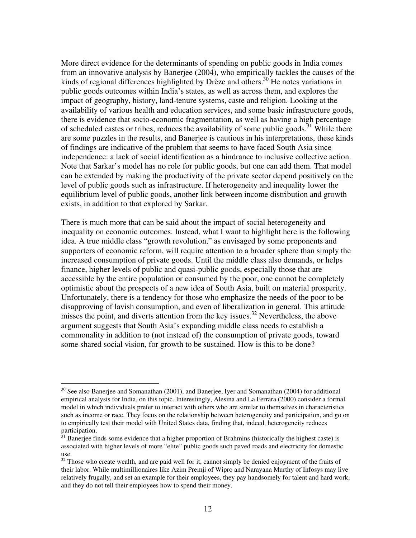More direct evidence for the determinants of spending on public goods in India comes from an innovative analysis by Banerjee (2004), who empirically tackles the causes of the kinds of regional differences highlighted by Drèze and others.<sup>30</sup> He notes variations in public goods outcomes within India's states, as well as across them, and explores the impact of geography, history, land-tenure systems, caste and religion. Looking at the availability of various health and education services, and some basic infrastructure goods, there is evidence that socio-economic fragmentation, as well as having a high percentage of scheduled castes or tribes, reduces the availability of some public goods.<sup>31</sup> While there are some puzzles in the results, and Banerjee is cautious in his interpretations, these kinds of findings are indicative of the problem that seems to have faced South Asia since independence: a lack of social identification as a hindrance to inclusive collective action. Note that Sarkar's model has no role for public goods, but one can add them. That model can be extended by making the productivity of the private sector depend positively on the level of public goods such as infrastructure. If heterogeneity and inequality lower the equilibrium level of public goods, another link between income distribution and growth exists, in addition to that explored by Sarkar.

There is much more that can be said about the impact of social heterogeneity and inequality on economic outcomes. Instead, what I want to highlight here is the following idea. A true middle class "growth revolution," as envisaged by some proponents and supporters of economic reform, will require attention to a broader sphere than simply the increased consumption of private goods. Until the middle class also demands, or helps finance, higher levels of public and quasi-public goods, especially those that are accessible by the entire population or consumed by the poor, one cannot be completely optimistic about the prospects of a new idea of South Asia, built on material prosperity. Unfortunately, there is a tendency for those who emphasize the needs of the poor to be disapproving of lavish consumption, and even of liberalization in general. This attitude misses the point, and diverts attention from the key issues.<sup>32</sup> Nevertheless, the above argument suggests that South Asia's expanding middle class needs to establish a commonality in addition to (not instead of) the consumption of private goods, toward some shared social vision, for growth to be sustained. How is this to be done?

 $\overline{a}$ 

<sup>&</sup>lt;sup>30</sup> See also Banerjee and Somanathan (2001), and Banerjee, Iyer and Somanathan (2004) for additional empirical analysis for India, on this topic. Interestingly, Alesina and La Ferrara (2000) consider a formal model in which individuals prefer to interact with others who are similar to themselves in characteristics such as income or race. They focus on the relationship between heterogeneity and participation, and go on to empirically test their model with United States data, finding that, indeed, heterogeneity reduces participation.

<sup>31</sup> Banerjee finds some evidence that a higher proportion of Brahmins (historically the highest caste) is associated with higher levels of more "elite" public goods such paved roads and electricity for domestic use.

 $32$  Those who create wealth, and are paid well for it, cannot simply be denied enjoyment of the fruits of their labor. While multimillionaires like Azim Premji of Wipro and Narayana Murthy of Infosys may live relatively frugally, and set an example for their employees, they pay handsomely for talent and hard work, and they do not tell their employees how to spend their money.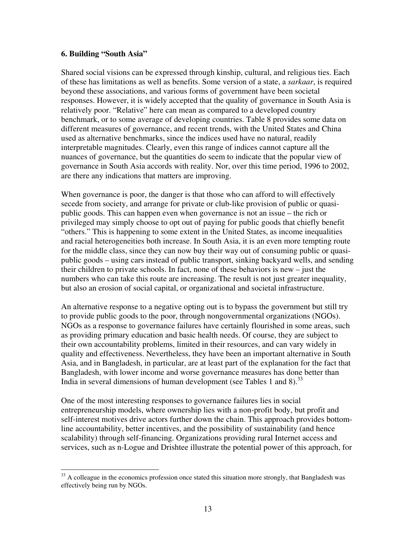#### **6. Building "South Asia"**

Shared social visions can be expressed through kinship, cultural, and religious ties. Each of these has limitations as well as benefits. Some version of a state, a *sarkaar*, is required beyond these associations, and various forms of government have been societal responses. However, it is widely accepted that the quality of governance in South Asia is relatively poor. "Relative" here can mean as compared to a developed country benchmark, or to some average of developing countries. Table 8 provides some data on different measures of governance, and recent trends, with the United States and China used as alternative benchmarks, since the indices used have no natural, readily interpretable magnitudes. Clearly, even this range of indices cannot capture all the nuances of governance, but the quantities do seem to indicate that the popular view of governance in South Asia accords with reality. Nor, over this time period, 1996 to 2002, are there any indications that matters are improving.

When governance is poor, the danger is that those who can afford to will effectively secede from society, and arrange for private or club-like provision of public or quasipublic goods. This can happen even when governance is not an issue – the rich or privileged may simply choose to opt out of paying for public goods that chiefly benefit "others." This is happening to some extent in the United States, as income inequalities and racial heterogeneities both increase. In South Asia, it is an even more tempting route for the middle class, since they can now buy their way out of consuming public or quasipublic goods – using cars instead of public transport, sinking backyard wells, and sending their children to private schools. In fact, none of these behaviors is new – just the numbers who can take this route are increasing. The result is not just greater inequality, but also an erosion of social capital, or organizational and societal infrastructure.

An alternative response to a negative opting out is to bypass the government but still try to provide public goods to the poor, through nongovernmental organizations (NGOs). NGOs as a response to governance failures have certainly flourished in some areas, such as providing primary education and basic health needs. Of course, they are subject to their own accountability problems, limited in their resources, and can vary widely in quality and effectiveness. Nevertheless, they have been an important alternative in South Asia, and in Bangladesh, in particular, are at least part of the explanation for the fact that Bangladesh, with lower income and worse governance measures has done better than India in several dimensions of human development (see Tables 1 and 8).<sup>33</sup>

One of the most interesting responses to governance failures lies in social entrepreneurship models, where ownership lies with a non-profit body, but profit and self-interest motives drive actors further down the chain. This approach provides bottomline accountability, better incentives, and the possibility of sustainability (and hence scalability) through self-financing. Organizations providing rural Internet access and services, such as n-Logue and Drishtee illustrate the potential power of this approach, for

<sup>&</sup>lt;u>.</u> <sup>33</sup> A colleague in the economics profession once stated this situation more strongly, that Bangladesh was effectively being run by NGOs.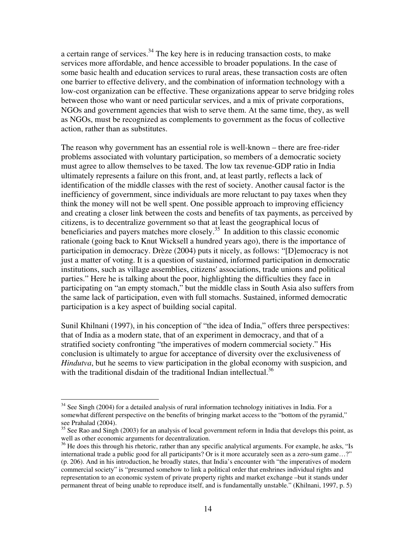a certain range of services.<sup>34</sup> The key here is in reducing transaction costs, to make services more affordable, and hence accessible to broader populations. In the case of some basic health and education services to rural areas, these transaction costs are often one barrier to effective delivery, and the combination of information technology with a low-cost organization can be effective. These organizations appear to serve bridging roles between those who want or need particular services, and a mix of private corporations, NGOs and government agencies that wish to serve them. At the same time, they, as well as NGOs, must be recognized as complements to government as the focus of collective action, rather than as substitutes.

The reason why government has an essential role is well-known – there are free-rider problems associated with voluntary participation, so members of a democratic society must agree to allow themselves to be taxed. The low tax revenue-GDP ratio in India ultimately represents a failure on this front, and, at least partly, reflects a lack of identification of the middle classes with the rest of society. Another causal factor is the inefficiency of government, since individuals are more reluctant to pay taxes when they think the money will not be well spent. One possible approach to improving efficiency and creating a closer link between the costs and benefits of tax payments, as perceived by citizens, is to decentralize government so that at least the geographical locus of beneficiaries and payers matches more closely.<sup>35</sup> In addition to this classic economic rationale (going back to Knut Wicksell a hundred years ago), there is the importance of participation in democracy. Drèze (2004) puts it nicely, as follows: "[D]emocracy is not just a matter of voting. It is a question of sustained, informed participation in democratic institutions, such as village assemblies, citizens' associations, trade unions and political parties." Here he is talking about the poor, highlighting the difficulties they face in participating on "an empty stomach," but the middle class in South Asia also suffers from the same lack of participation, even with full stomachs. Sustained, informed democratic participation is a key aspect of building social capital.

Sunil Khilnani (1997), in his conception of "the idea of India," offers three perspectives: that of India as a modern state, that of an experiment in democracy, and that of a stratified society confronting "the imperatives of modern commercial society." His conclusion is ultimately to argue for acceptance of diversity over the exclusiveness of *Hindutva*, but he seems to view participation in the global economy with suspicion, and with the traditional disdain of the traditional Indian intellectual.<sup>36</sup>

<u>.</u>

<sup>&</sup>lt;sup>34</sup> See Singh (2004) for a detailed analysis of rural information technology initiatives in India. For a somewhat different perspective on the benefits of bringing market access to the "bottom of the pyramid," see Prahalad (2004).

<sup>&</sup>lt;sup>35</sup> See Rao and Singh (2003) for an analysis of local government reform in India that develops this point, as well as other economic arguments for decentralization.

<sup>&</sup>lt;sup>36</sup> He does this through his rhetoric, rather than any specific analytical arguments. For example, he asks, "Is international trade a public good for all participants? Or is it more accurately seen as a zero-sum game…?" (p. 206). And in his introduction, he broadly states, that India's encounter with "the imperatives of modern commercial society" is "presumed somehow to link a political order that enshrines individual rights and representation to an economic system of private property rights and market exchange –but it stands under permanent threat of being unable to reproduce itself, and is fundamentally unstable." (Khilnani, 1997, p. 5)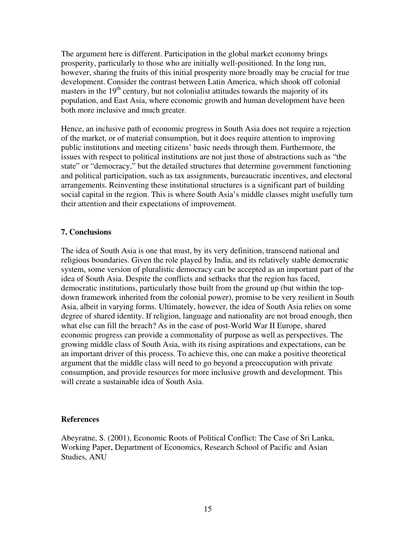The argument here is different. Participation in the global market economy brings prosperity, particularly to those who are initially well-positioned. In the long run, however, sharing the fruits of this initial prosperity more broadly may be crucial for true development. Consider the contrast between Latin America, which shook off colonial masters in the  $19<sup>th</sup>$  century, but not colonialist attitudes towards the majority of its population, and East Asia, where economic growth and human development have been both more inclusive and much greater.

Hence, an inclusive path of economic progress in South Asia does not require a rejection of the market, or of material consumption, but it does require attention to improving public institutions and meeting citizens' basic needs through them. Furthermore, the issues with respect to political institutions are not just those of abstractions such as "the state" or "democracy," but the detailed structures that determine government functioning and political participation, such as tax assignments, bureaucratic incentives, and electoral arrangements. Reinventing these institutional structures is a significant part of building social capital in the region. This is where South Asia's middle classes might usefully turn their attention and their expectations of improvement.

#### **7. Conclusions**

The idea of South Asia is one that must, by its very definition, transcend national and religious boundaries. Given the role played by India, and its relatively stable democratic system, some version of pluralistic democracy can be accepted as an important part of the idea of South Asia. Despite the conflicts and setbacks that the region has faced, democratic institutions, particularly those built from the ground up (but within the topdown framework inherited from the colonial power), promise to be very resilient in South Asia, albeit in varying forms. Ultimately, however, the idea of South Asia relies on some degree of shared identity. If religion, language and nationality are not broad enough, then what else can fill the breach? As in the case of post-World War II Europe, shared economic progress can provide a commonality of purpose as well as perspectives. The growing middle class of South Asia, with its rising aspirations and expectations, can be an important driver of this process. To achieve this, one can make a positive theoretical argument that the middle class will need to go beyond a preoccupation with private consumption, and provide resources for more inclusive growth and development. This will create a sustainable idea of South Asia.

#### **References**

Abeyratne, S. (2001), Economic Roots of Political Conflict: The Case of Sri Lanka, Working Paper, Department of Economics, Research School of Pacific and Asian Studies, ANU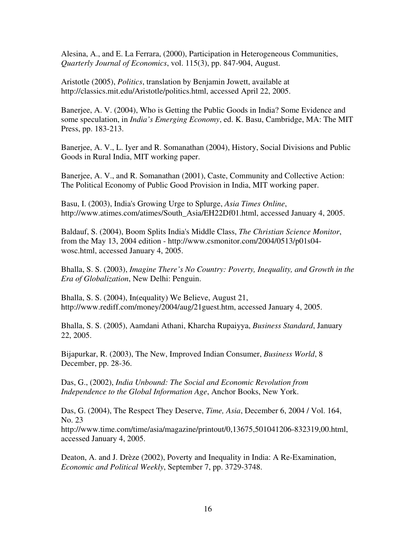Alesina, A., and E. La Ferrara, (2000), Participation in Heterogeneous Communities, *Quarterly Journal of Economics*, vol. 115(3), pp. 847-904, August.

Aristotle (2005), *Politics*, translation by Benjamin Jowett, available at http://classics.mit.edu/Aristotle/politics.html, accessed April 22, 2005.

Banerjee, A. V. (2004), Who is Getting the Public Goods in India? Some Evidence and some speculation, in *India's Emerging Economy*, ed. K. Basu, Cambridge, MA: The MIT Press, pp. 183-213.

Banerjee, A. V., L. Iyer and R. Somanathan (2004), History, Social Divisions and Public Goods in Rural India, MIT working paper.

Baneriee, A. V., and R. Somanathan (2001), Caste, Community and Collective Action: The Political Economy of Public Good Provision in India, MIT working paper.

Basu, I. (2003), India's Growing Urge to Splurge, *Asia Times Online*, http://www.atimes.com/atimes/South\_Asia/EH22Df01.html, accessed January 4, 2005.

Baldauf, S. (2004), Boom Splits India's Middle Class, *The Christian Science Monitor*, from the May 13, 2004 edition - http://www.csmonitor.com/2004/0513/p01s04 wosc.html, accessed January 4, 2005.

Bhalla, S. S. (2003), *Imagine There's No Country: Poverty, Inequality, and Growth in the Era of Globalization*, New Delhi: Penguin.

Bhalla, S. S. (2004), In(equality) We Believe, August 21, http://www.rediff.com/money/2004/aug/21guest.htm, accessed January 4, 2005.

Bhalla, S. S. (2005), Aamdani Athani, Kharcha Rupaiyya, *Business Standard*, January 22, 2005.

Bijapurkar, R. (2003), The New, Improved Indian Consumer, *Business World*, 8 December, pp. 28-36.

Das, G., (2002), *India Unbound: The Social and Economic Revolution from Independence to the Global Information Age*, Anchor Books, New York.

Das, G. (2004), The Respect They Deserve, *Time, Asia*, December 6, 2004 / Vol. 164, No. 23

http://www.time.com/time/asia/magazine/printout/0,13675,501041206-832319,00.html, accessed January 4, 2005.

Deaton, A. and J. Drèze (2002), Poverty and Inequality in India: A Re-Examination, *Economic and Political Weekly*, September 7, pp. 3729-3748.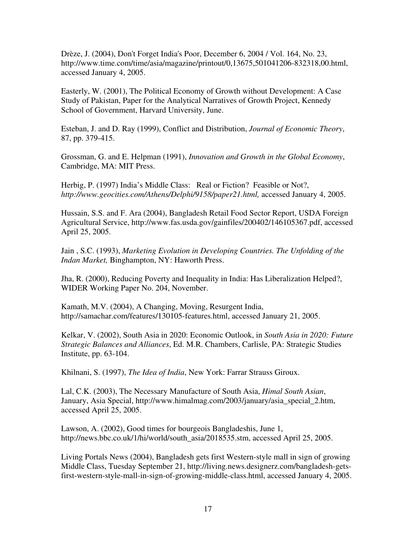Drèze, J. (2004), Don't Forget India's Poor, December 6, 2004 / Vol. 164, No. 23, http://www.time.com/time/asia/magazine/printout/0,13675,501041206-832318,00.html, accessed January 4, 2005.

Easterly, W. (2001), The Political Economy of Growth without Development: A Case Study of Pakistan, Paper for the Analytical Narratives of Growth Project, Kennedy School of Government, Harvard University, June.

Esteban, J. and D. Ray (1999), Conflict and Distribution, *Journal of Economic Theory*, 87, pp. 379-415.

Grossman, G. and E. Helpman (1991), *Innovation and Growth in the Global Economy*, Cambridge, MA: MIT Press.

Herbig, P. (1997) India's Middle Class: Real or Fiction? Feasible or Not?, *http://www.geocities.com/Athens/Delphi/9158/paper21.html,* accessed January 4, 2005.

Hussain, S.S. and F. Ara (2004), Bangladesh Retail Food Sector Report, USDA Foreign Agricultural Service, http://www.fas.usda.gov/gainfiles/200402/146105367.pdf, accessed April 25, 2005.

Jain , S.C. (1993), *Marketing Evolution in Developing Countries. The Unfolding of the Indan Market,* Binghampton, NY: Haworth Press.

Jha, R. (2000), Reducing Poverty and Inequality in India: Has Liberalization Helped?, WIDER Working Paper No. 204, November.

Kamath, M.V. (2004), A Changing, Moving, Resurgent India, http://samachar.com/features/130105-features.html, accessed January 21, 2005.

Kelkar, V. (2002), South Asia in 2020: Economic Outlook, in *South Asia in 2020: Future Strategic Balances and Alliances*, Ed. M.R. Chambers, Carlisle, PA: Strategic Studies Institute, pp. 63-104.

Khilnani, S. (1997), *The Idea of India*, New York: Farrar Strauss Giroux.

Lal, C.K. (2003), The Necessary Manufacture of South Asia, *Himal South Asian*, January, Asia Special, http://www.himalmag.com/2003/january/asia\_special\_2.htm, accessed April 25, 2005.

Lawson, A. (2002), Good times for bourgeois Bangladeshis, June 1, http://news.bbc.co.uk/1/hi/world/south\_asia/2018535.stm, accessed April 25, 2005.

Living Portals News (2004), Bangladesh gets first Western-style mall in sign of growing Middle Class, Tuesday September 21, http://living.news.designerz.com/bangladesh-getsfirst-western-style-mall-in-sign-of-growing-middle-class.html, accessed January 4, 2005.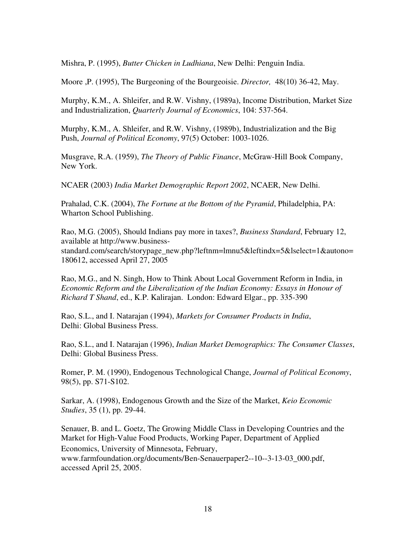Mishra, P. (1995), *Butter Chicken in Ludhiana*, New Delhi: Penguin India.

Moore ,P. (1995), The Burgeoning of the Bourgeoisie. *Director,* 48(10) 36-42, May.

Murphy, K.M., A. Shleifer, and R.W. Vishny, (1989a), Income Distribution, Market Size and Industrialization, *Quarterly Journal of Economics*, 104: 537-564.

Murphy, K.M., A. Shleifer, and R.W. Vishny, (1989b), Industrialization and the Big Push, *Journal of Political Economy*, 97(5) October: 1003-1026.

Musgrave, R.A. (1959), *The Theory of Public Finance*, McGraw-Hill Book Company, New York.

NCAER (2003) *India Market Demographic Report 2002*, NCAER, New Delhi.

Prahalad, C.K. (2004), *The Fortune at the Bottom of the Pyramid*, Philadelphia, PA: Wharton School Publishing.

Rao, M.G. (2005), Should Indians pay more in taxes?, *Business Standard*, February 12, available at http://www.businessstandard.com/search/storypage\_new.php?leftnm=lmnu5&leftindx=5&lselect=1&autono= 180612, accessed April 27, 2005

Rao, M.G., and N. Singh, How to Think About Local Government Reform in India, in *Economic Reform and the Liberalization of the Indian Economy: Essays in Honour of Richard T Shand*, ed., K.P. Kalirajan. London: Edward Elgar., pp. 335-390

Rao, S.L., and I. Natarajan (1994), *Markets for Consumer Products in India*, Delhi: Global Business Press.

Rao, S.L., and I. Natarajan (1996), *Indian Market Demographics: The Consumer Classes*, Delhi: Global Business Press.

Romer, P. M. (1990), Endogenous Technological Change, *Journal of Political Economy*, 98(5), pp. S71-S102.

Sarkar, A. (1998), Endogenous Growth and the Size of the Market, *Keio Economic Studies*, 35 (1), pp. 29-44.

Senauer, B. and L. Goetz, The Growing Middle Class in Developing Countries and the Market for High-Value Food Products, Working Paper, Department of Applied Economics, University of Minnesota, February, www.farmfoundation.org/documents/Ben-Senauerpaper2--10--3-13-03\_000.pdf, accessed April 25, 2005.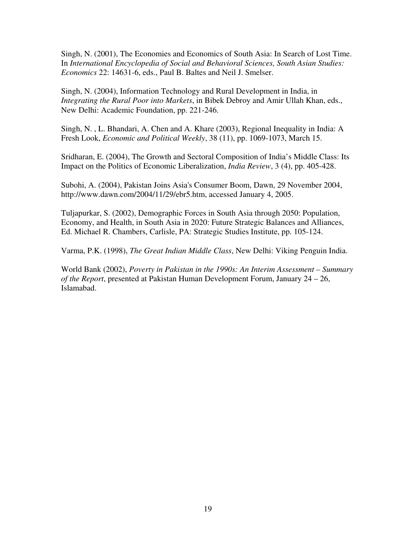Singh, N. (2001), The Economies and Economics of South Asia: In Search of Lost Time. In *International Encyclopedia of Social and Behavioral Sciences, South Asian Studies: Economics* 22: 14631-6, eds., Paul B. Baltes and Neil J. Smelser.

Singh, N. (2004), Information Technology and Rural Development in India, in *Integrating the Rural Poor into Markets*, in Bibek Debroy and Amir Ullah Khan, eds., New Delhi: Academic Foundation, pp. 221-246.

Singh, N. , L. Bhandari, A. Chen and A. Khare (2003), Regional Inequality in India: A Fresh Look, *Economic and Political Weekly*, 38 (11), pp. 1069-1073, March 15.

Sridharan, E. (2004), The Growth and Sectoral Composition of India's Middle Class: Its Impact on the Politics of Economic Liberalization, *India Review*, 3 (4), pp. 405-428.

Subohi, A. (2004), Pakistan Joins Asia's Consumer Boom, Dawn, 29 November 2004, http://www.dawn.com/2004/11/29/ebr5.htm, accessed January 4, 2005.

Tuljapurkar, S. (2002), Demographic Forces in South Asia through 2050: Population, Economy, and Health, in South Asia in 2020: Future Strategic Balances and Alliances, Ed. Michael R. Chambers, Carlisle, PA: Strategic Studies Institute, pp. 105-124.

Varma, P.K. (1998), *The Great Indian Middle Class*, New Delhi: Viking Penguin India.

World Bank (2002), *Poverty in Pakistan in the 1990s: An Interim Assessment – Summary of the Report*, presented at Pakistan Human Development Forum, January 24 – 26, Islamabad.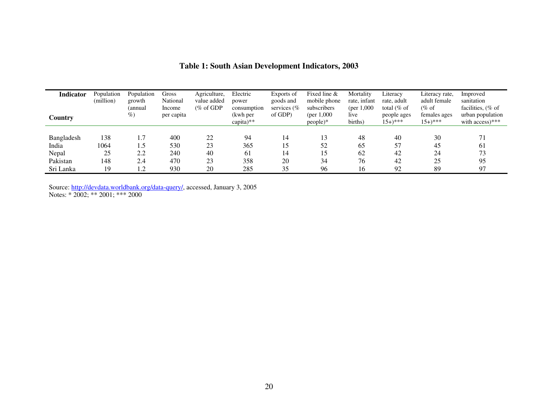| Indicator<br>Country | Population<br>(million) | Population<br>growth<br>(annual<br>%) | Gross<br>National<br>Income<br>per capita | Agriculture,<br>value added<br>$(\% \text{ of GDP})$ | Electric<br>power<br>consumption<br>(kwh per<br>$capita)**$ | Exports of<br>goods and<br>services $(\%$<br>of GDP) | Fixed line $\&$<br>mobile phone<br>subscribers<br>(per $1,000$ )<br>people)* | Mortality<br>rate, infant<br>(per $1,000$ )<br>live<br>births) | Literacy<br>rate, adult<br>total $(\%$ of<br>people ages<br>$15+$ <sup>***</sup> | Literacy rate.<br>adult female<br>$(\%$ of<br>females ages<br>$15+$ <sup>***</sup> | Improved<br>sanitation<br>facilities, $%$ of<br>urban population<br>with access)*** |
|----------------------|-------------------------|---------------------------------------|-------------------------------------------|------------------------------------------------------|-------------------------------------------------------------|------------------------------------------------------|------------------------------------------------------------------------------|----------------------------------------------------------------|----------------------------------------------------------------------------------|------------------------------------------------------------------------------------|-------------------------------------------------------------------------------------|
|                      |                         |                                       |                                           |                                                      |                                                             |                                                      |                                                                              |                                                                |                                                                                  |                                                                                    |                                                                                     |
| Bangladesh           | 138                     | 1.7                                   | 400                                       | 22                                                   | 94                                                          | 14                                                   | 13                                                                           | 48                                                             | 40                                                                               | 30                                                                                 | 71                                                                                  |
| India                | 1064                    | 1.5                                   | 530                                       | 23                                                   | 365                                                         |                                                      | 52                                                                           | 65                                                             | 57                                                                               | 45                                                                                 | 61                                                                                  |
| Nepal                | 25                      | 2.2                                   | 240                                       | 40                                                   | 61                                                          | 14                                                   | 15                                                                           | 62                                                             | 42                                                                               | 24                                                                                 | 73                                                                                  |
| Pakistan             | 148                     | 2.4                                   | 470                                       | 23                                                   | 358                                                         | 20                                                   | 34                                                                           | 76                                                             | 42                                                                               | 25                                                                                 | 95                                                                                  |
| Sri Lanka            | 19                      | 1.2                                   | 930                                       | 20                                                   | 285                                                         | 35                                                   | 96                                                                           | 16                                                             | 92                                                                               | 89                                                                                 | 97                                                                                  |

### **Table 1: South Asian Development Indicators, 2003**

Source: http://devdata.worldbank.org/data-query/, accessed, January 3, 2005 Notes: \* 2002; \*\* 2001; \*\*\* 2000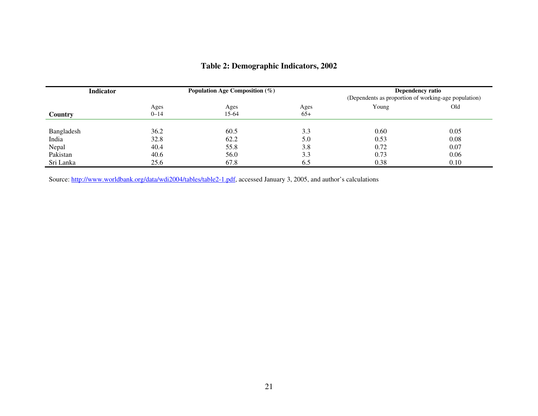| <b>Indicator</b> |                  | Population Age Composition $(\%)$ |               | <b>Dependency ratio</b><br>(Dependents as proportion of working-age population) |      |  |
|------------------|------------------|-----------------------------------|---------------|---------------------------------------------------------------------------------|------|--|
| Country          | Ages<br>$0 - 14$ | Ages<br>15-64                     | Ages<br>$65+$ | Young                                                                           | Old  |  |
| Bangladesh       | 36.2             | 60.5                              | 3.3           | 0.60                                                                            | 0.05 |  |
| India            | 32.8             | 62.2                              | 5.0           | 0.53                                                                            | 0.08 |  |
| Nepal            | 40.4             | 55.8                              | 3.8           | 0.72                                                                            | 0.07 |  |
| Pakistan         | 40.6             | 56.0                              | 3.3           | 0.73                                                                            | 0.06 |  |
| Sri Lanka        | 25.6             | 67.8                              | 6.5           | 0.38                                                                            | 0.10 |  |

# **Table 2: Demographic Indicators, 2002**

Source: http://www.worldbank.org/data/wdi2004/tables/table2-1.pdf, accessed January 3, 2005, and author's calculations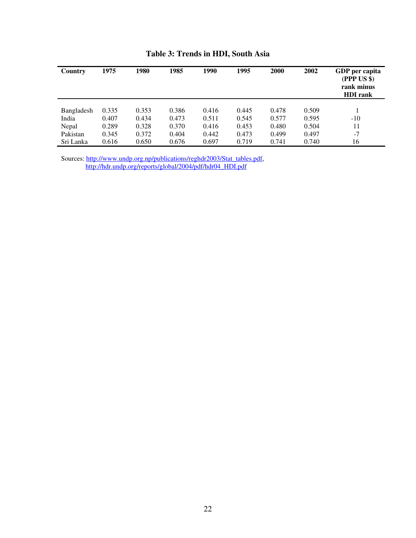| Country    | 1975  | 1980  | 1985  | 1990  | 1995  | 2000  | 2002  | GDP per capita<br>$(PPP\;US\;\$)$<br>rank minus<br><b>HDI</b> rank |
|------------|-------|-------|-------|-------|-------|-------|-------|--------------------------------------------------------------------|
|            |       |       |       |       |       |       |       |                                                                    |
| Bangladesh | 0.335 | 0.353 | 0.386 | 0.416 | 0.445 | 0.478 | 0.509 |                                                                    |
| India      | 0.407 | 0.434 | 0.473 | 0.511 | 0.545 | 0.577 | 0.595 | $-10$                                                              |
| Nepal      | 0.289 | 0.328 | 0.370 | 0.416 | 0.453 | 0.480 | 0.504 | 11                                                                 |
| Pakistan   | 0.345 | 0.372 | 0.404 | 0.442 | 0.473 | 0.499 | 0.497 | $-7$                                                               |
| Sri Lanka  | 0.616 | 0.650 | 0.676 | 0.697 | 0.719 | 0.741 | 0.740 | 16                                                                 |

## **Table 3: Trends in HDI, South Asia**

Sources: http://www.undp.org.np/publications/reghdr2003/Stat\_tables.pdf, http://hdr.undp.org/reports/global/2004/pdf/hdr04\_HDI.pdf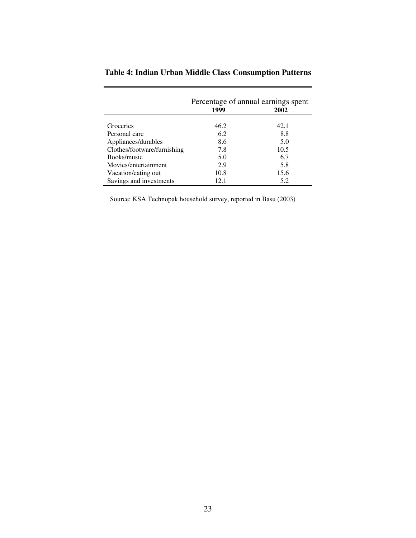|                             | Percentage of annual earnings spent |      |
|-----------------------------|-------------------------------------|------|
|                             | 1999                                | 2002 |
|                             |                                     |      |
| Groceries                   | 46.2                                | 42.1 |
| Personal care               | 6.2                                 | 8.8  |
| Appliances/durables         | 8.6                                 | 5.0  |
| Clothes/footware/furnishing | 7.8                                 | 10.5 |
| Books/music                 | 5.0                                 | 6.7  |
| Movies/entertainment        | 2.9                                 | 5.8  |
| Vacation/eating out         | 10.8                                | 15.6 |
| Savings and investments     | 12.1                                | 5.2  |

# **Table 4: Indian Urban Middle Class Consumption Patterns**

Source: KSA Technopak household survey, reported in Basu (2003)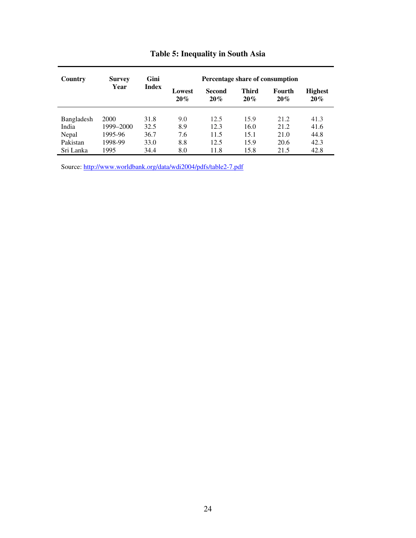| Country    | <b>Survey</b> | Gini         |                  |                      |                     | Percentage share of consumption |                          |
|------------|---------------|--------------|------------------|----------------------|---------------------|---------------------------------|--------------------------|
|            | Year          | <b>Index</b> | Lowest<br>$20\%$ | <b>Second</b><br>20% | <b>Third</b><br>20% | Fourth<br>20%                   | <b>Highest</b><br>$20\%$ |
|            |               |              |                  |                      |                     |                                 |                          |
| Bangladesh | 2000          | 31.8         | 9.0              | 12.5                 | 15.9                | 21.2                            | 41.3                     |
| India      | 1999–2000     | 32.5         | 8.9              | 12.3                 | 16.0                | 21.2                            | 41.6                     |
| Nepal      | 1995-96       | 36.7         | 7.6              | 11.5                 | 15.1                | 21.0                            | 44.8                     |
| Pakistan   | 1998-99       | 33.0         | 8.8              | 12.5                 | 15.9                | 20.6                            | 42.3                     |
| Sri Lanka  | 1995          | 34.4         | 8.0              | 11.8                 | 15.8                | 21.5                            | 42.8                     |

# **Table 5: Inequality in South Asia**

Source: http://www.worldbank.org/data/wdi2004/pdfs/table2-7.pdf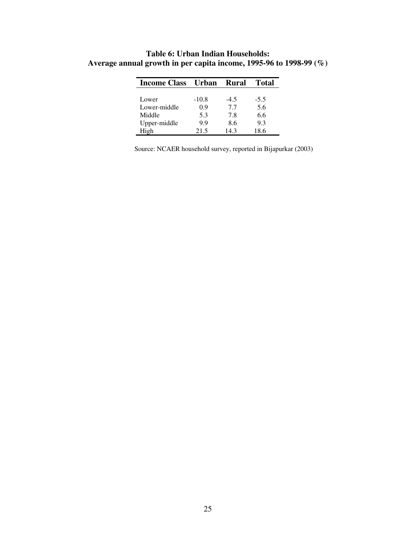| <b>Income Class</b> | Urban   | <b>Rural</b> | <b>Total</b> |
|---------------------|---------|--------------|--------------|
|                     |         |              |              |
| Lower               | $-10.8$ | $-4.5$       | $-5.5$       |
| Lower-middle        | 0.9     | 7.7          | 5.6          |
| Middle              | 5.3     | 7.8          | 6.6          |
| Upper-middle        | 9.9     | 8.6          | 9.3          |
| High                | 21.5    | 14.3         | 18.6         |

**Table 6: Urban Indian Households: Average annual growth in per capita income, 1995-96 to 1998-99 (%)** 

Source: NCAER household survey, reported in Bijapurkar (2003)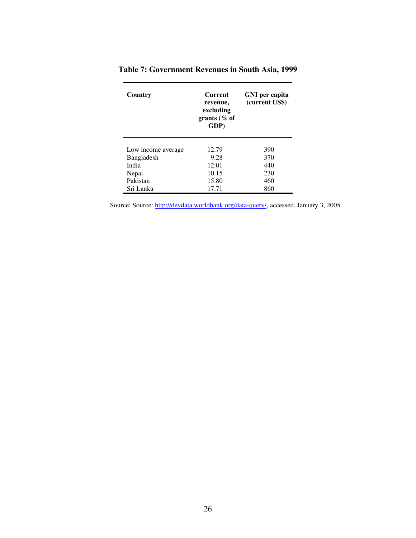| Country            | <b>Current</b><br>revenue,<br>excluding<br>grants ( $%$ of<br>GDP) | GNI per capita<br>(current US\$) |
|--------------------|--------------------------------------------------------------------|----------------------------------|
| Low income average | 12.79                                                              | 390                              |
| Bangladesh         | 9.28                                                               | 370                              |
| India              | 12.01                                                              | 440                              |
| Nepal              | 10.15                                                              | 230                              |
| Pakistan           | 15.80                                                              | 460                              |
| Sri Lanka          | 17.71                                                              | 860                              |

| Table 7: Government Revenues in South Asia, 1999 |  |  |  |  |  |  |  |
|--------------------------------------------------|--|--|--|--|--|--|--|
|--------------------------------------------------|--|--|--|--|--|--|--|

Source: Source: http://devdata.worldbank.org/data-query/, accessed, January 3, 2005